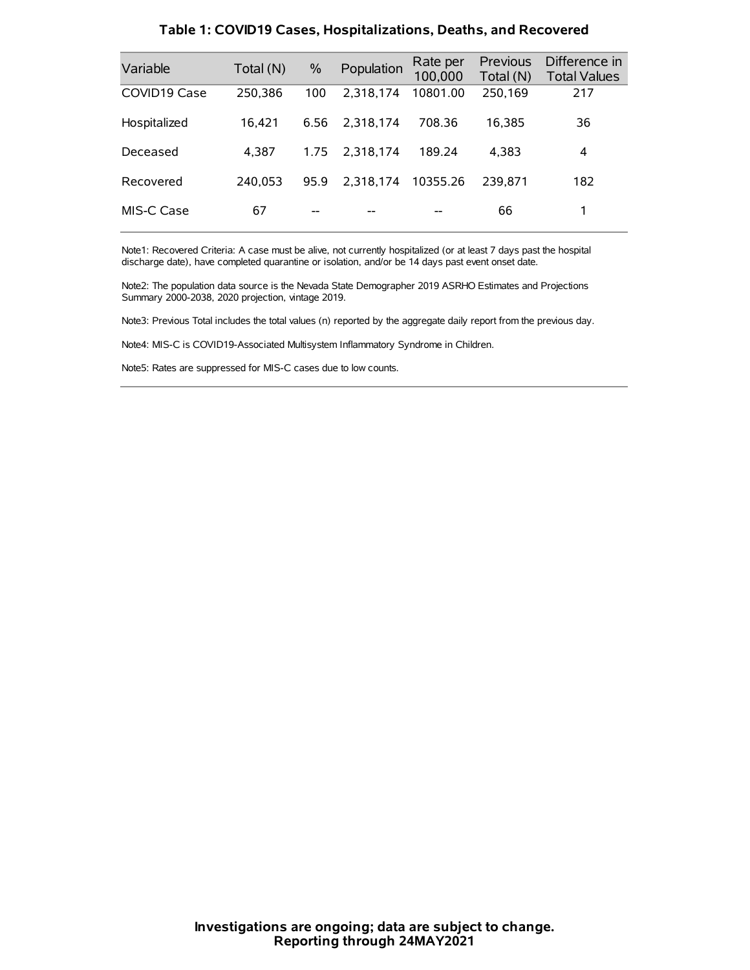| Variable     | Total (N) | $\frac{0}{0}$ | Population | Rate per<br>100,000 | <b>Previous</b><br>Total (N) | Difference in<br><b>Total Values</b> |
|--------------|-----------|---------------|------------|---------------------|------------------------------|--------------------------------------|
| COVID19 Case | 250,386   | 100           | 2.318.174  | 10801.00            | 250,169                      | 217                                  |
| Hospitalized | 16.421    | 6.56          | 2.318.174  | 708.36              | 16.385                       | 36                                   |
| Deceased     | 4.387     | 1.75          | 2.318.174  | 189.24              | 4.383                        | 4                                    |
| Recovered    | 240.053   | 95.9          | 2.318.174  | 10355.26            | 239.871                      | 182                                  |
| MIS-C Case   | 67        | --            |            |                     | 66                           | 1                                    |

#### **Table 1: COVID19 Cases, Hospitalizations, Deaths, and Recovered**

Note1: Recovered Criteria: A case must be alive, not currently hospitalized (or at least 7 days past the hospital discharge date), have completed quarantine or isolation, and/or be 14 days past event onset date.

Note2: The population data source is the Nevada State Demographer 2019 ASRHO Estimates and Projections Summary 2000-2038, 2020 projection, vintage 2019.

Note3: Previous Total includes the total values (n) reported by the aggregate daily report from the previous day.

Note4: MIS-C is COVID19-Associated Multisystem Inflammatory Syndrome in Children.

Note5: Rates are suppressed for MIS-C cases due to low counts.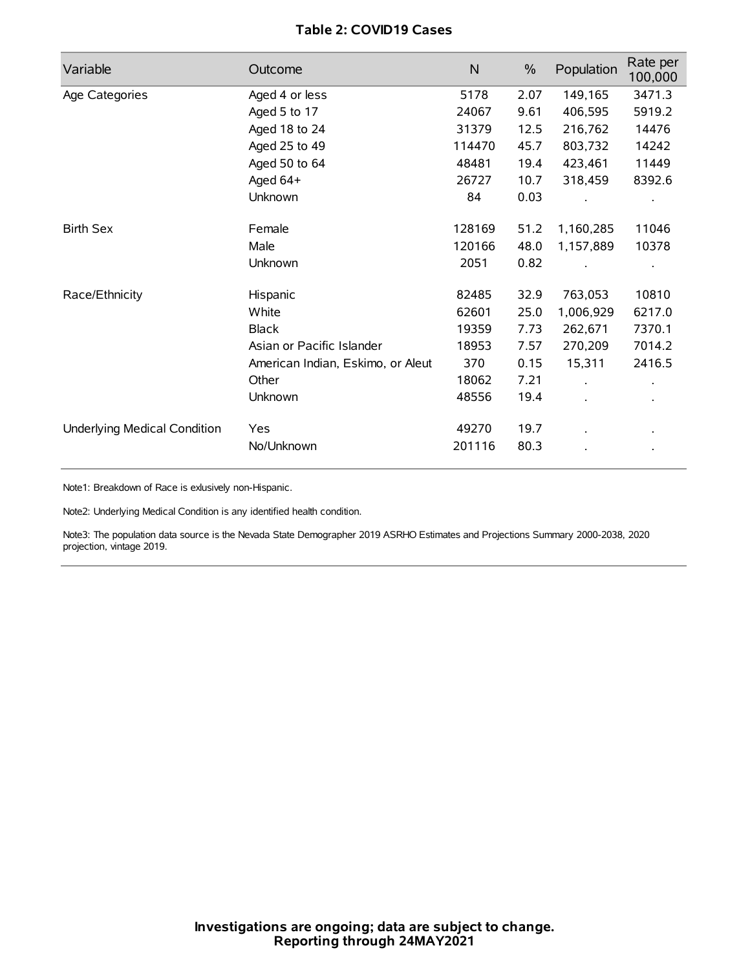## **Table 2: COVID19 Cases**

| Variable                     | Outcome                           | $\mathsf{N}$ | $\%$ | Population | Rate per<br>100,000 |
|------------------------------|-----------------------------------|--------------|------|------------|---------------------|
| Age Categories               | Aged 4 or less                    | 5178         | 2.07 | 149,165    | 3471.3              |
|                              | Aged 5 to 17                      | 24067        | 9.61 | 406,595    | 5919.2              |
|                              | Aged 18 to 24                     | 31379        | 12.5 | 216,762    | 14476               |
|                              | Aged 25 to 49                     | 114470       | 45.7 | 803,732    | 14242               |
|                              | Aged 50 to 64                     | 48481        | 19.4 | 423,461    | 11449               |
|                              | Aged 64+                          | 26727        | 10.7 | 318,459    | 8392.6              |
|                              | Unknown                           | 84           | 0.03 |            |                     |
| <b>Birth Sex</b>             | Female                            | 128169       | 51.2 | 1,160,285  | 11046               |
|                              | Male                              | 120166       | 48.0 | 1,157,889  | 10378               |
|                              | Unknown                           | 2051         | 0.82 |            |                     |
| Race/Ethnicity               | Hispanic                          | 82485        | 32.9 | 763,053    | 10810               |
|                              | White                             | 62601        | 25.0 | 1,006,929  | 6217.0              |
|                              | <b>Black</b>                      | 19359        | 7.73 | 262,671    | 7370.1              |
|                              | Asian or Pacific Islander         | 18953        | 7.57 | 270,209    | 7014.2              |
|                              | American Indian, Eskimo, or Aleut | 370          | 0.15 | 15,311     | 2416.5              |
|                              | Other                             | 18062        | 7.21 |            |                     |
|                              | <b>Unknown</b>                    | 48556        | 19.4 | $\cdot$    |                     |
| Underlying Medical Condition | Yes                               | 49270        | 19.7 |            |                     |
|                              | No/Unknown                        | 201116       | 80.3 |            |                     |

Note1: Breakdown of Race is exlusively non-Hispanic.

Note2: Underlying Medical Condition is any identified health condition.

Note3: The population data source is the Nevada State Demographer 2019 ASRHO Estimates and Projections Summary 2000-2038, 2020 projection, vintage 2019.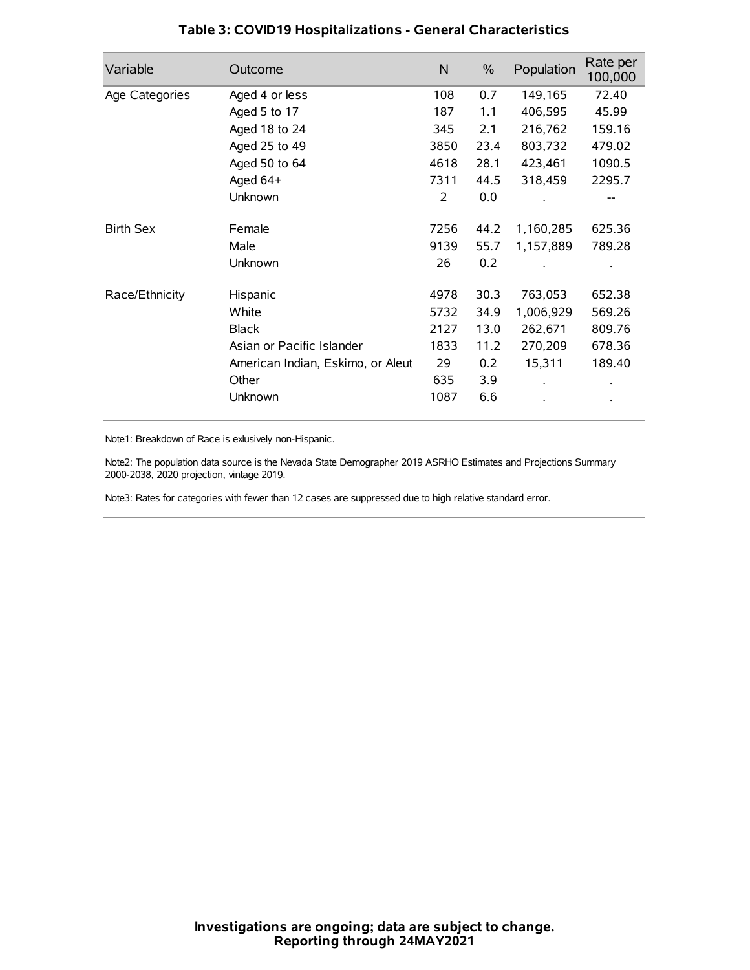| Variable         | Outcome                           | $\mathsf{N}$ | $\%$ | Population | Rate per<br>100,000 |
|------------------|-----------------------------------|--------------|------|------------|---------------------|
| Age Categories   | Aged 4 or less                    | 108          | 0.7  | 149,165    | 72.40               |
|                  | Aged 5 to 17                      | 187          | 1.1  | 406,595    | 45.99               |
|                  | Aged 18 to 24                     | 345          | 2.1  | 216,762    | 159.16              |
|                  | Aged 25 to 49                     | 3850         | 23.4 | 803,732    | 479.02              |
|                  | Aged 50 to 64                     | 4618         | 28.1 | 423,461    | 1090.5              |
|                  | Aged 64+                          | 7311         | 44.5 | 318,459    | 2295.7              |
|                  | Unknown                           | 2            | 0.0  |            |                     |
| <b>Birth Sex</b> | Female                            | 7256         | 44.2 | 1,160,285  | 625.36              |
|                  | Male                              | 9139         | 55.7 | 1,157,889  | 789.28              |
|                  | Unknown                           | 26           | 0.2  |            |                     |
| Race/Ethnicity   | Hispanic                          | 4978         | 30.3 | 763,053    | 652.38              |
|                  | White                             | 5732         | 34.9 | 1,006,929  | 569.26              |
|                  | <b>Black</b>                      | 2127         | 13.0 | 262,671    | 809.76              |
|                  | Asian or Pacific Islander         | 1833         | 11.2 | 270,209    | 678.36              |
|                  | American Indian, Eskimo, or Aleut | 29           | 0.2  | 15,311     | 189.40              |
|                  | Other                             | 635          | 3.9  |            |                     |
|                  | Unknown                           | 1087         | 6.6  |            |                     |

## **Table 3: COVID19 Hospitalizations - General Characteristics**

Note1: Breakdown of Race is exlusively non-Hispanic.

Note2: The population data source is the Nevada State Demographer 2019 ASRHO Estimates and Projections Summary 2000-2038, 2020 projection, vintage 2019.

Note3: Rates for categories with fewer than 12 cases are suppressed due to high relative standard error.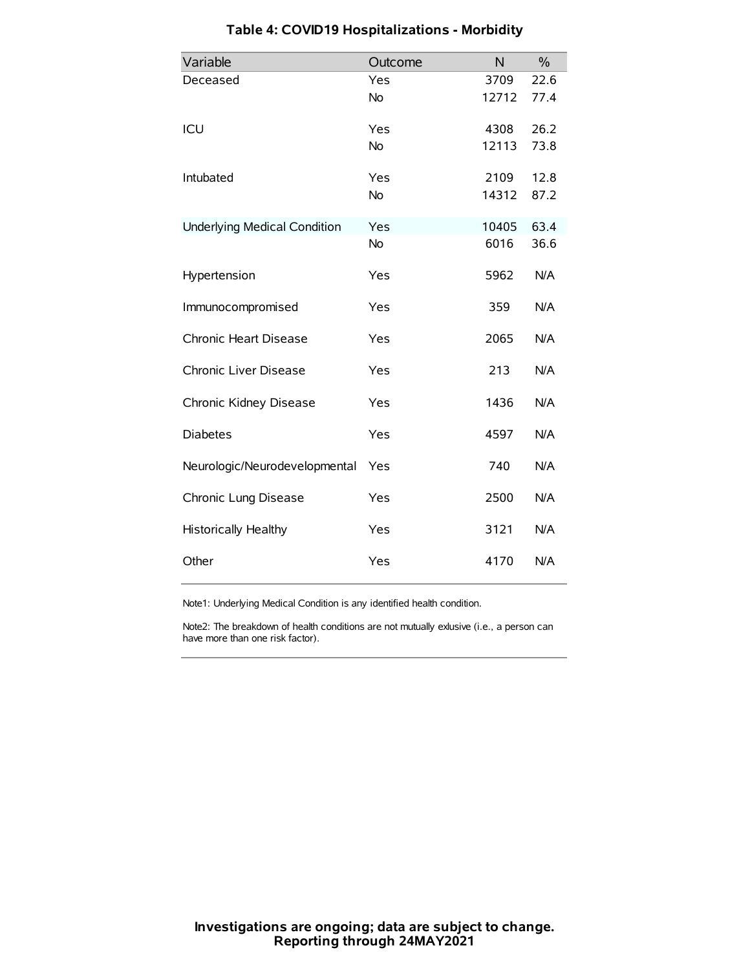| Variable                            | Outcome   | N     | $\frac{0}{0}$ |
|-------------------------------------|-----------|-------|---------------|
| Deceased                            | Yes       | 3709  | 22.6          |
|                                     | <b>No</b> | 12712 | 77.4          |
| ICU                                 | Yes       | 4308  | 26.2          |
|                                     | <b>No</b> | 12113 | 73.8          |
| Intubated                           | Yes       | 2109  | 12.8          |
|                                     | <b>No</b> | 14312 | 87.2          |
| <b>Underlying Medical Condition</b> | Yes       | 10405 | 63.4          |
|                                     | No        | 6016  | 36.6          |
| Hypertension                        | Yes       | 5962  | N/A           |
| Immunocompromised                   | Yes       | 359   | N/A           |
| Chronic Heart Disease               | Yes       | 2065  | N/A           |
| Chronic Liver Disease               | Yes       | 213   | N/A           |
| Chronic Kidney Disease              | Yes       | 1436  | N/A           |
| <b>Diabetes</b>                     | Yes       | 4597  | N/A           |
| Neurologic/Neurodevelopmental       | Yes       | 740   | N/A           |
| Chronic Lung Disease                | Yes       | 2500  | N/A           |
| <b>Historically Healthy</b>         | Yes       | 3121  | N/A           |
| Other                               | Yes       | 4170  | N/A           |

# **Table 4: COVID19 Hospitalizations - Morbidity**

Note1: Underlying Medical Condition is any identified health condition.

Note2: The breakdown of health conditions are not mutually exlusive (i.e., a person can have more than one risk factor).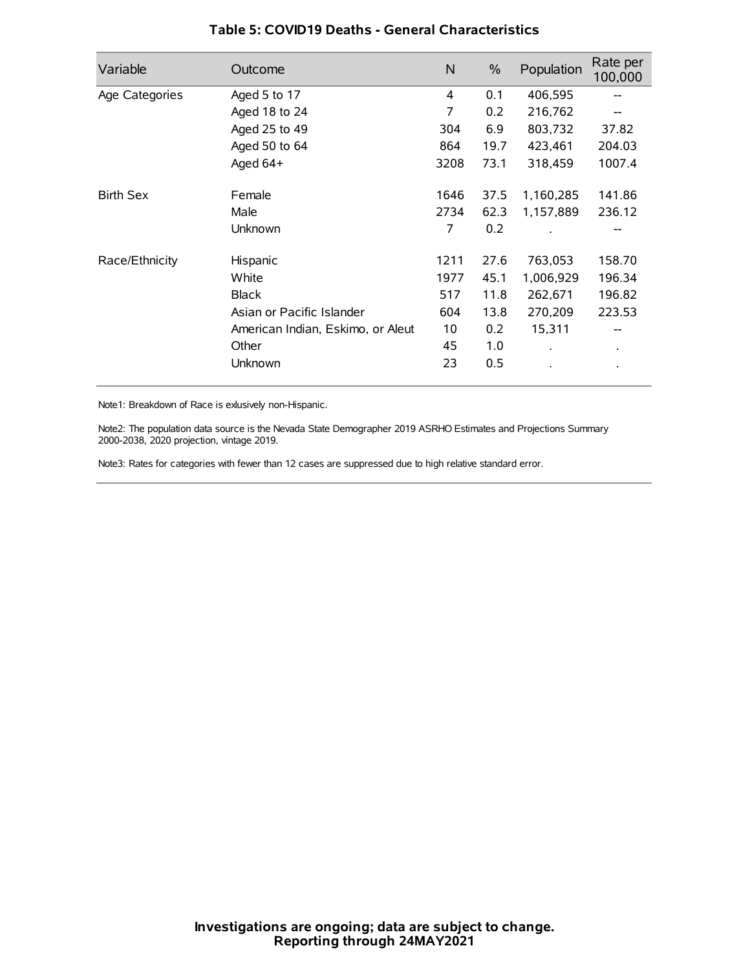| Variable         | Outcome                           | $\mathsf{N}$ | $\%$ | Population           | Rate per<br>100,000 |
|------------------|-----------------------------------|--------------|------|----------------------|---------------------|
| Age Categories   | Aged 5 to 17                      | 4            | 0.1  | 406,595              |                     |
|                  | Aged 18 to 24                     | 7            | 0.2  | 216,762              |                     |
|                  | Aged 25 to 49                     | 304          | 6.9  | 803,732              | 37.82               |
|                  | Aged 50 to 64                     | 864          | 19.7 | 423,461              | 204.03              |
|                  | Aged 64+                          | 3208         | 73.1 | 318,459              | 1007.4              |
| <b>Birth Sex</b> | Female                            | 1646         | 37.5 | 1,160,285            | 141.86              |
|                  | Male                              | 2734         | 62.3 | 1,157,889            | 236.12              |
|                  | Unknown                           | 7            | 0.2  |                      |                     |
| Race/Ethnicity   | Hispanic                          | 1211         | 27.6 | 763,053              | 158.70              |
|                  | White                             | 1977         | 45.1 | 1,006,929            | 196.34              |
|                  | <b>Black</b>                      | 517          | 11.8 | 262,671              | 196.82              |
|                  | Asian or Pacific Islander         | 604          | 13.8 | 270,209              | 223.53              |
|                  | American Indian, Eskimo, or Aleut | 10           | 0.2  | 15,311               |                     |
|                  | Other                             | 45           | 1.0  | $\ddot{\phantom{0}}$ | $\bullet$           |
|                  | Unknown                           | 23           | 0.5  |                      |                     |

### **Table 5: COVID19 Deaths - General Characteristics**

Note1: Breakdown of Race is exlusively non-Hispanic.

Note2: The population data source is the Nevada State Demographer 2019 ASRHO Estimates and Projections Summary 2000-2038, 2020 projection, vintage 2019.

Note3: Rates for categories with fewer than 12 cases are suppressed due to high relative standard error.